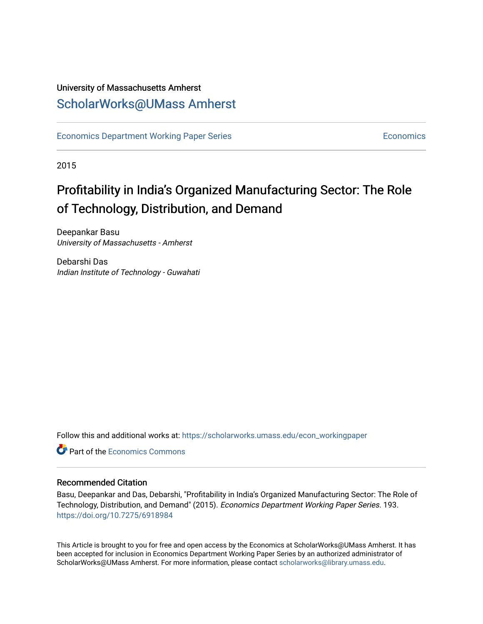## University of Massachusetts Amherst [ScholarWorks@UMass Amherst](https://scholarworks.umass.edu/)

[Economics Department Working Paper Series](https://scholarworks.umass.edu/econ_workingpaper) **Economics** [Economics](https://scholarworks.umass.edu/economics) Economics

2015

## Profitability in India's Organized Manufacturing Sector: The Role of Technology, Distribution, and Demand

Deepankar Basu University of Massachusetts - Amherst

Debarshi Das Indian Institute of Technology - Guwahati

Follow this and additional works at: [https://scholarworks.umass.edu/econ\\_workingpaper](https://scholarworks.umass.edu/econ_workingpaper?utm_source=scholarworks.umass.edu%2Fecon_workingpaper%2F193&utm_medium=PDF&utm_campaign=PDFCoverPages) 

**C** Part of the [Economics Commons](http://network.bepress.com/hgg/discipline/340?utm_source=scholarworks.umass.edu%2Fecon_workingpaper%2F193&utm_medium=PDF&utm_campaign=PDFCoverPages)

#### Recommended Citation

Basu, Deepankar and Das, Debarshi, "Profitability in India's Organized Manufacturing Sector: The Role of Technology, Distribution, and Demand" (2015). Economics Department Working Paper Series. 193. <https://doi.org/10.7275/6918984>

This Article is brought to you for free and open access by the Economics at ScholarWorks@UMass Amherst. It has been accepted for inclusion in Economics Department Working Paper Series by an authorized administrator of ScholarWorks@UMass Amherst. For more information, please contact [scholarworks@library.umass.edu.](mailto:scholarworks@library.umass.edu)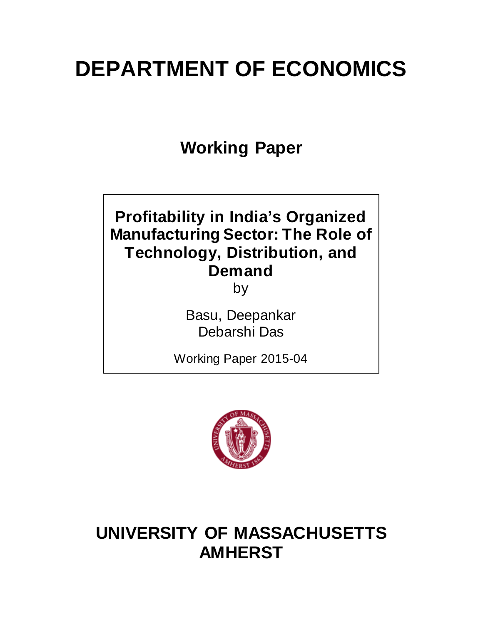# **DEPARTMENT OF ECONOMICS**

**Working Paper**

## **Profitability in India's Organized Manufacturing Sector: The Role of Technology, Distribution, and Demand** by

Basu, Deepankar Debarshi Das

Working Paper 2015-04



## **UNIVERSITY OF MASSACHUSETTS AMHERST**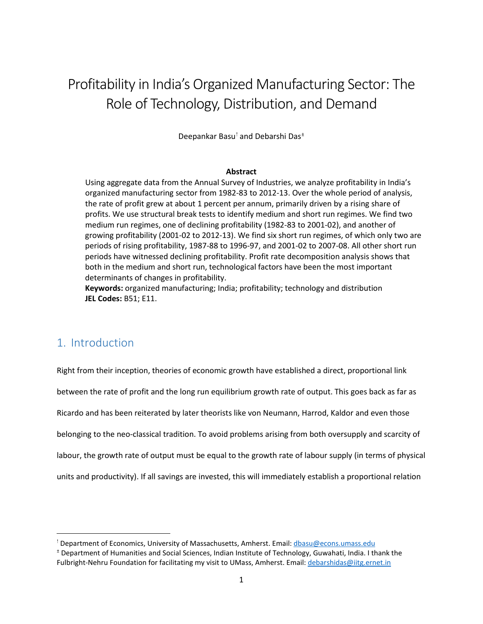## Profitability in India's Organized Manufacturing Sector: The Role of Technology, Distribution, and Demand

Deepankar Basu[!](#page-2-0) and Debarshi Das[±](#page-2-1)

#### **Abstract**

Using aggregate data from the Annual Survey of Industries, we analyze profitability in India's organized manufacturing sector from 1982-83 to 2012-13. Over the whole period of analysis, the rate of profit grew at about 1 percent per annum, primarily driven by a rising share of profits. We use structural break tests to identify medium and short run regimes. We find two medium run regimes, one of declining profitability (1982-83 to 2001-02), and another of growing profitability (2001-02 to 2012-13). We find six short run regimes, of which only two are periods of rising profitability, 1987-88 to 1996-97, and 2001-02 to 2007-08. All other short run periods have witnessed declining profitability. Profit rate decomposition analysis shows that both in the medium and short run, technological factors have been the most important determinants of changes in profitability.

**Keywords:** organized manufacturing; India; profitability; technology and distribution **JEL Codes:** B51; E11.

## 1. Introduction

 $\overline{\phantom{a}}$ 

Right from their inception, theories of economic growth have established a direct, proportional link between the rate of profit and the long run equilibrium growth rate of output. This goes back as far as Ricardo and has been reiterated by later theorists like von Neumann, Harrod, Kaldor and even those belonging to the neo-classical tradition. To avoid problems arising from both oversupply and scarcity of labour, the growth rate of output must be equal to the growth rate of labour supply (in terms of physical units and productivity). If all savings are invested, this will immediately establish a proportional relation

<span id="page-2-0"></span><sup>!</sup> Department of Economics, University of Massachusetts, Amherst. Email: dbasu@econs.umass.edu

<span id="page-2-1"></span><sup>±</sup> Department of Humanities and Social Sciences, Indian Institute of Technology, Guwahati, India. I thank the Fulbright-Nehru Foundation for facilitating my visit to UMass, Amherst. Email: debarshidas@iitg.ernet.in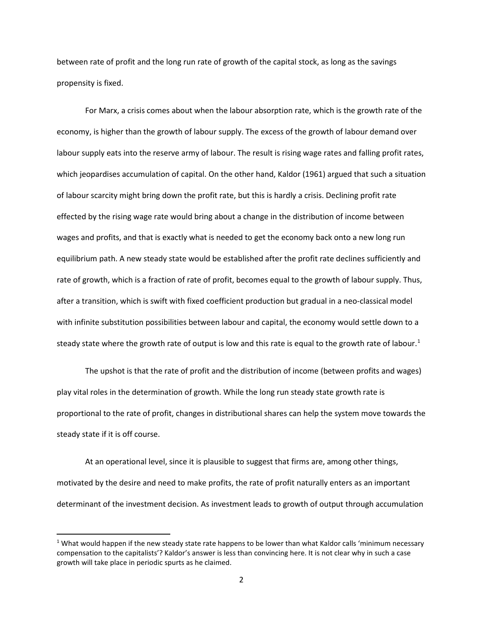between rate of profit and the long run rate of growth of the capital stock, as long as the savings propensity is fixed.

For Marx, a crisis comes about when the labour absorption rate, which is the growth rate of the economy, is higher than the growth of labour supply. The excess of the growth of labour demand over labour supply eats into the reserve army of labour. The result is rising wage rates and falling profit rates, which jeopardises accumulation of capital. On the other hand, Kaldor (1961) argued that such a situation of labour scarcity might bring down the profit rate, but this is hardly a crisis. Declining profit rate effected by the rising wage rate would bring about a change in the distribution of income between wages and profits, and that is exactly what is needed to get the economy back onto a new long run equilibrium path. A new steady state would be established after the profit rate declines sufficiently and rate of growth, which is a fraction of rate of profit, becomes equal to the growth of labour supply. Thus, after a transition, which is swift with fixed coefficient production but gradual in a neo-classical model with infinite substitution possibilities between labour and capital, the economy would settle down to a steady state where the growth rate of output is low and this rate is equal to the growth rate of labour.<sup>[1](#page-3-0)</sup>

The upshot is that the rate of profit and the distribution of income (between profits and wages) play vital roles in the determination of growth. While the long run steady state growth rate is proportional to the rate of profit, changes in distributional shares can help the system move towards the steady state if it is off course.

At an operational level, since it is plausible to suggest that firms are, among other things, motivated by the desire and need to make profits, the rate of profit naturally enters as an important determinant of the investment decision. As investment leads to growth of output through accumulation

l

<span id="page-3-0"></span><sup>&</sup>lt;sup>1</sup> What would happen if the new steady state rate happens to be lower than what Kaldor calls 'minimum necessary compensation to the capitalists'? Kaldor's answer is less than convincing here. It is not clear why in such a case growth will take place in periodic spurts as he claimed.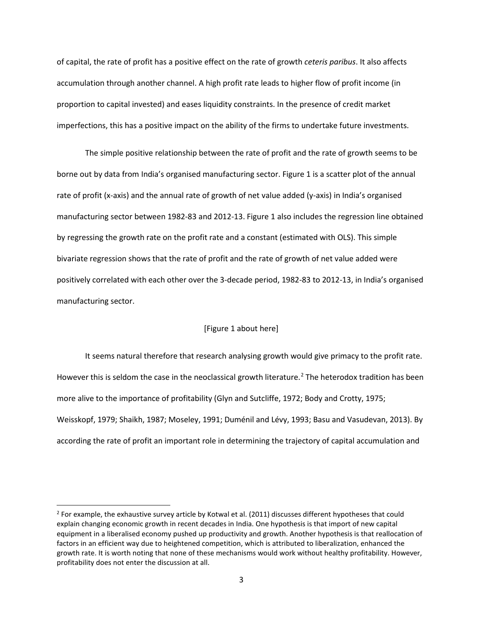of capital, the rate of profit has a positive effect on the rate of growth *ceteris paribus*. It also affects accumulation through another channel. A high profit rate leads to higher flow of profit income (in proportion to capital invested) and eases liquidity constraints. In the presence of credit market imperfections, this has a positive impact on the ability of the firms to undertake future investments.

The simple positive relationship between the rate of profit and the rate of growth seems to be borne out by data from India's organised manufacturing sector. Figure 1 is a scatter plot of the annual rate of profit (x-axis) and the annual rate of growth of net value added (y-axis) in India's organised manufacturing sector between 1982-83 and 2012-13. Figure 1 also includes the regression line obtained by regressing the growth rate on the profit rate and a constant (estimated with OLS). This simple bivariate regression shows that the rate of profit and the rate of growth of net value added were positively correlated with each other over the 3-decade period, 1982-83 to 2012-13, in India's organised manufacturing sector.

#### [Figure 1 about here]

It seems natural therefore that research analysing growth would give primacy to the profit rate. However this is seldom the case in the neoclassical growth literature.<sup>[2](#page-4-0)</sup> The heterodox tradition has been more alive to the importance of profitability (Glyn and Sutcliffe, 1972; Body and Crotty, 1975; Weisskopf, 1979; Shaikh, 1987; Moseley, 1991; Duménil and Lévy, 1993; Basu and Vasudevan, 2013). By according the rate of profit an important role in determining the trajectory of capital accumulation and

 $\overline{\phantom{a}}$ 

<span id="page-4-0"></span><sup>&</sup>lt;sup>2</sup> For example, the exhaustive survey article by Kotwal et al. (2011) discusses different hypotheses that could explain changing economic growth in recent decades in India. One hypothesis is that import of new capital equipment in a liberalised economy pushed up productivity and growth. Another hypothesis is that reallocation of factors in an efficient way due to heightened competition, which is attributed to liberalization, enhanced the growth rate. It is worth noting that none of these mechanisms would work without healthy profitability. However, profitability does not enter the discussion at all.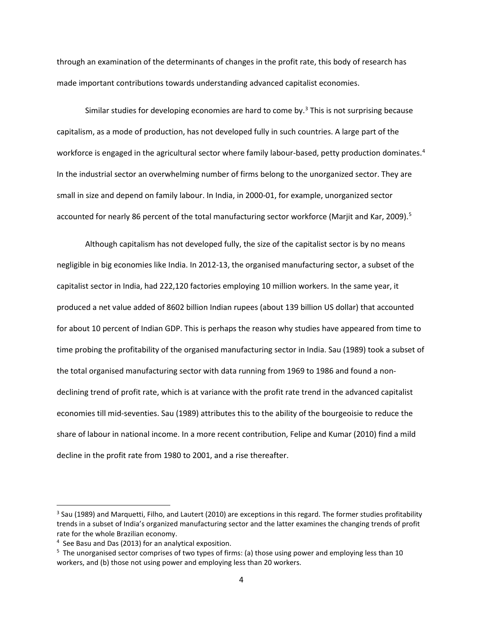through an examination of the determinants of changes in the profit rate, this body of research has made important contributions towards understanding advanced capitalist economies.

Similar studies for developing economies are hard to come by.<sup>[3](#page-5-0)</sup> This is not surprising because capitalism, as a mode of production, has not developed fully in such countries. A large part of the workforce is engaged in the agricultural sector where family labour-based, petty production dominates.<sup>[4](#page-5-1)</sup> In the industrial sector an overwhelming number of firms belong to the unorganized sector. They are small in size and depend on family labour. In India, in 2000-01, for example, unorganized sector accounted for nearly 86 percent of the total manufacturing sector workforce (Marjit and Kar, 2009).<sup>[5](#page-5-2)</sup>

Although capitalism has not developed fully, the size of the capitalist sector is by no means negligible in big economies like India. In 2012-13, the organised manufacturing sector, a subset of the capitalist sector in India, had 222,120 factories employing 10 million workers. In the same year, it produced a net value added of 8602 billion Indian rupees (about 139 billion US dollar) that accounted for about 10 percent of Indian GDP. This is perhaps the reason why studies have appeared from time to time probing the profitability of the organised manufacturing sector in India. Sau (1989) took a subset of the total organised manufacturing sector with data running from 1969 to 1986 and found a nondeclining trend of profit rate, which is at variance with the profit rate trend in the advanced capitalist economies till mid-seventies. Sau (1989) attributes this to the ability of the bourgeoisie to reduce the share of labour in national income. In a more recent contribution, Felipe and Kumar (2010) find a mild decline in the profit rate from 1980 to 2001, and a rise thereafter.

 $\overline{\phantom{a}}$ 

<span id="page-5-0"></span> $3$  Sau (1989) and Marquetti, Filho, and Lautert (2010) are exceptions in this regard. The former studies profitability trends in a subset of India's organized manufacturing sector and the latter examines the changing trends of profit rate for the whole Brazilian economy.

<span id="page-5-1"></span><sup>4</sup> See Basu and Das (2013) for an analytical exposition.

<span id="page-5-2"></span><sup>&</sup>lt;sup>5</sup> The unorganised sector comprises of two types of firms: (a) those using power and employing less than 10 workers, and (b) those not using power and employing less than 20 workers.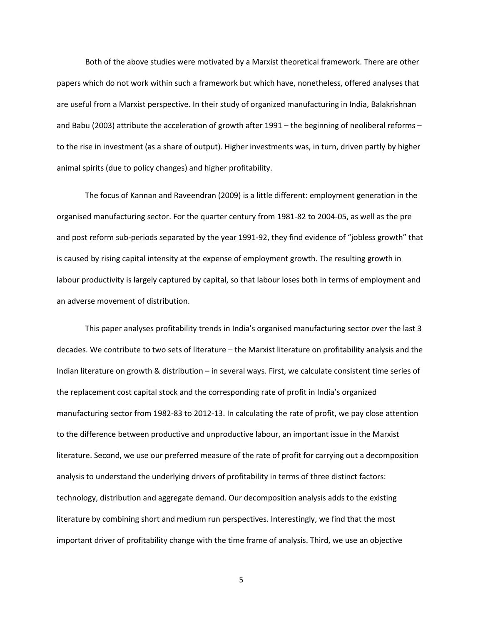Both of the above studies were motivated by a Marxist theoretical framework. There are other papers which do not work within such a framework but which have, nonetheless, offered analyses that are useful from a Marxist perspective. In their study of organized manufacturing in India, Balakrishnan and Babu (2003) attribute the acceleration of growth after 1991 – the beginning of neoliberal reforms – to the rise in investment (as a share of output). Higher investments was, in turn, driven partly by higher animal spirits (due to policy changes) and higher profitability.

The focus of Kannan and Raveendran (2009) is a little different: employment generation in the organised manufacturing sector. For the quarter century from 1981-82 to 2004-05, as well as the pre and post reform sub-periods separated by the year 1991-92, they find evidence of "jobless growth" that is caused by rising capital intensity at the expense of employment growth. The resulting growth in labour productivity is largely captured by capital, so that labour loses both in terms of employment and an adverse movement of distribution.

This paper analyses profitability trends in India's organised manufacturing sector over the last 3 decades. We contribute to two sets of literature – the Marxist literature on profitability analysis and the Indian literature on growth & distribution – in several ways. First, we calculate consistent time series of the replacement cost capital stock and the corresponding rate of profit in India's organized manufacturing sector from 1982-83 to 2012-13. In calculating the rate of profit, we pay close attention to the difference between productive and unproductive labour, an important issue in the Marxist literature. Second, we use our preferred measure of the rate of profit for carrying out a decomposition analysis to understand the underlying drivers of profitability in terms of three distinct factors: technology, distribution and aggregate demand. Our decomposition analysis adds to the existing literature by combining short and medium run perspectives. Interestingly, we find that the most important driver of profitability change with the time frame of analysis. Third, we use an objective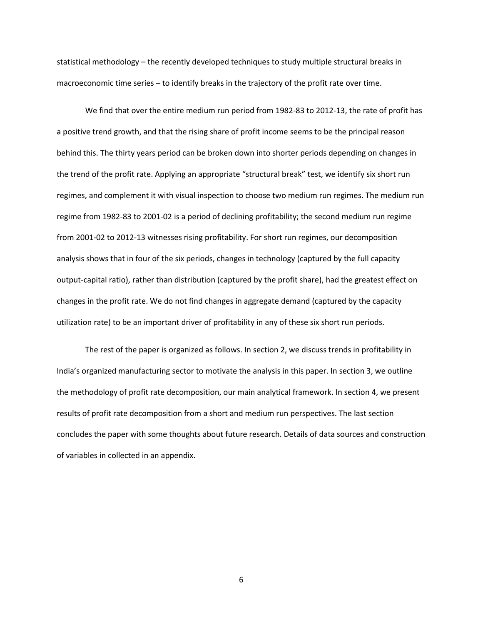statistical methodology – the recently developed techniques to study multiple structural breaks in macroeconomic time series – to identify breaks in the trajectory of the profit rate over time.

We find that over the entire medium run period from 1982-83 to 2012-13, the rate of profit has a positive trend growth, and that the rising share of profit income seems to be the principal reason behind this. The thirty years period can be broken down into shorter periods depending on changes in the trend of the profit rate. Applying an appropriate "structural break" test, we identify six short run regimes, and complement it with visual inspection to choose two medium run regimes. The medium run regime from 1982-83 to 2001-02 is a period of declining profitability; the second medium run regime from 2001-02 to 2012-13 witnesses rising profitability. For short run regimes, our decomposition analysis shows that in four of the six periods, changes in technology (captured by the full capacity output-capital ratio), rather than distribution (captured by the profit share), had the greatest effect on changes in the profit rate. We do not find changes in aggregate demand (captured by the capacity utilization rate) to be an important driver of profitability in any of these six short run periods.

The rest of the paper is organized as follows. In section 2, we discuss trends in profitability in India's organized manufacturing sector to motivate the analysis in this paper. In section 3, we outline the methodology of profit rate decomposition, our main analytical framework. In section 4, we present results of profit rate decomposition from a short and medium run perspectives. The last section concludes the paper with some thoughts about future research. Details of data sources and construction of variables in collected in an appendix.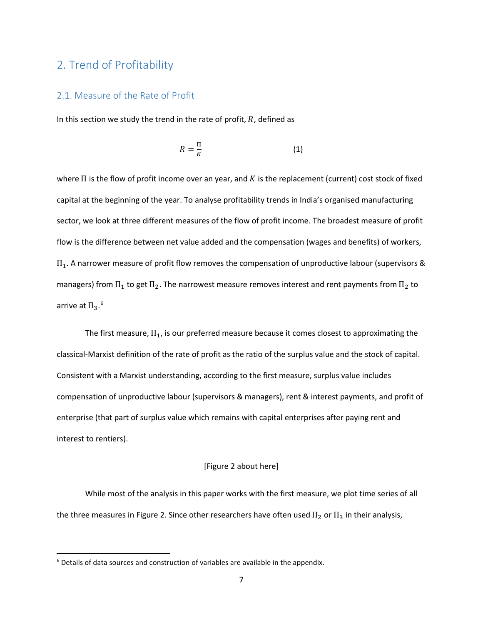## 2. Trend of Profitability

#### 2.1. Measure of the Rate of Profit

In this section we study the trend in the rate of profit,  $R$ , defined as

$$
R = \frac{\Pi}{K} \tag{1}
$$

where  $\Pi$  is the flow of profit income over an year, and  $K$  is the replacement (current) cost stock of fixed capital at the beginning of the year. To analyse profitability trends in India's organised manufacturing sector, we look at three different measures of the flow of profit income. The broadest measure of profit flow is the difference between net value added and the compensation (wages and benefits) of workers,  $\Pi_1$ . A narrower measure of profit flow removes the compensation of unproductive labour (supervisors & managers) from  $\Pi_1$  to get  $\Pi_2$ . The narrowest measure removes interest and rent payments from  $\Pi_2$  to arrive at  $\Pi_3$ .<sup>[6](#page-8-0)</sup>

The first measure,  $\Pi_1$ , is our preferred measure because it comes closest to approximating the classical-Marxist definition of the rate of profit as the ratio of the surplus value and the stock of capital. Consistent with a Marxist understanding, according to the first measure, surplus value includes compensation of unproductive labour (supervisors & managers), rent & interest payments, and profit of enterprise (that part of surplus value which remains with capital enterprises after paying rent and interest to rentiers).

#### [Figure 2 about here]

While most of the analysis in this paper works with the first measure, we plot time series of all the three measures in Figure 2. Since other researchers have often used  $\Pi_2$  or  $\Pi_3$  in their analysis,

l

<span id="page-8-0"></span> $6$  Details of data sources and construction of variables are available in the appendix.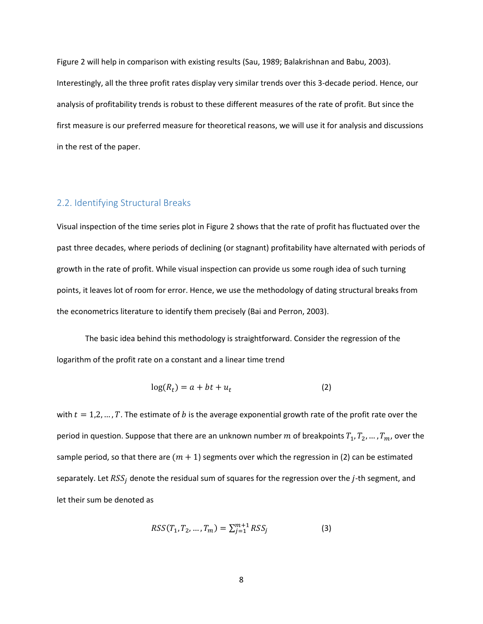Figure 2 will help in comparison with existing results (Sau, 1989; Balakrishnan and Babu, 2003). Interestingly, all the three profit rates display very similar trends over this 3-decade period. Hence, our analysis of profitability trends is robust to these different measures of the rate of profit. But since the first measure is our preferred measure for theoretical reasons, we will use it for analysis and discussions in the rest of the paper.

#### 2.2. Identifying Structural Breaks

Visual inspection of the time series plot in Figure 2 shows that the rate of profit has fluctuated over the past three decades, where periods of declining (or stagnant) profitability have alternated with periods of growth in the rate of profit. While visual inspection can provide us some rough idea of such turning points, it leaves lot of room for error. Hence, we use the methodology of dating structural breaks from the econometrics literature to identify them precisely (Bai and Perron, 2003).

The basic idea behind this methodology is straightforward. Consider the regression of the logarithm of the profit rate on a constant and a linear time trend

$$
\log(R_t) = a + bt + u_t \tag{2}
$$

with  $t = 1,2,..., T$ . The estimate of *b* is the average exponential growth rate of the profit rate over the period in question. Suppose that there are an unknown number  $m$  of breakpoints  $T_1, T_2, ..., T_m$ , over the sample period, so that there are  $(m + 1)$  segments over which the regression in (2) can be estimated separately. Let  $RSS<sub>i</sub>$  denote the residual sum of squares for the regression over the *j*-th segment, and let their sum be denoted as

$$
RSS(T_1, T_2, ..., T_m) = \sum_{j=1}^{m+1} RSS_j
$$
 (3)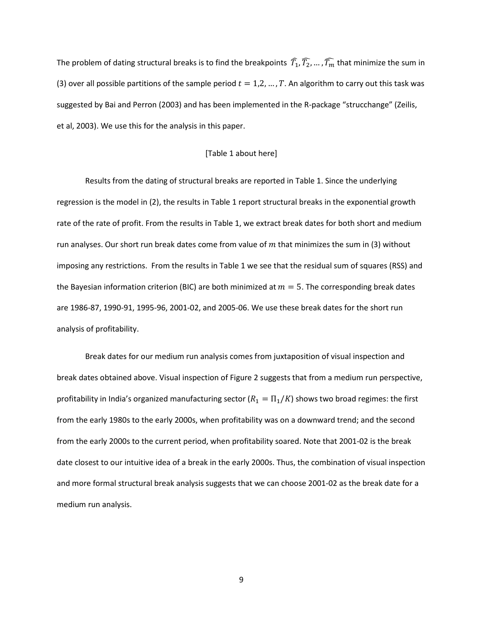The problem of dating structural breaks is to find the breakpoints  $T_1, T_2, ..., T_m$  that minimize the sum in (3) over all possible partitions of the sample period  $t = 1,2,..., T$ . An algorithm to carry out this task was suggested by Bai and Perron (2003) and has been implemented in the R-package "strucchange" (Zeilis, et al, 2003). We use this for the analysis in this paper.

#### [Table 1 about here]

Results from the dating of structural breaks are reported in Table 1. Since the underlying regression is the model in (2), the results in Table 1 report structural breaks in the exponential growth rate of the rate of profit. From the results in Table 1, we extract break dates for both short and medium run analyses. Our short run break dates come from value of  $m$  that minimizes the sum in (3) without imposing any restrictions. From the results in Table 1 we see that the residual sum of squares (RSS) and the Bayesian information criterion (BIC) are both minimized at  $m = 5$ . The corresponding break dates are 1986-87, 1990-91, 1995-96, 2001-02, and 2005-06. We use these break dates for the short run analysis of profitability.

Break dates for our medium run analysis comes from juxtaposition of visual inspection and break dates obtained above. Visual inspection of Figure 2 suggests that from a medium run perspective, profitability in India's organized manufacturing sector ( $R_1 = \Pi_1/K$ ) shows two broad regimes: the first from the early 1980s to the early 2000s, when profitability was on a downward trend; and the second from the early 2000s to the current period, when profitability soared. Note that 2001-02 is the break date closest to our intuitive idea of a break in the early 2000s. Thus, the combination of visual inspection and more formal structural break analysis suggests that we can choose 2001-02 as the break date for a medium run analysis.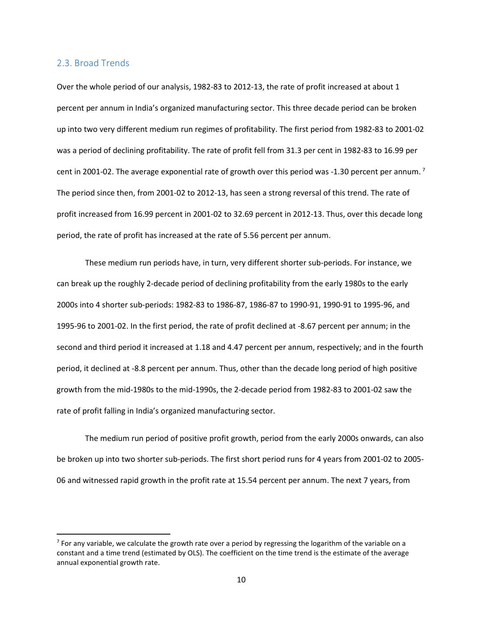#### 2.3. Broad Trends

l

Over the whole period of our analysis, 1982-83 to 2012-13, the rate of profit increased at about 1 percent per annum in India's organized manufacturing sector. This three decade period can be broken up into two very different medium run regimes of profitability. The first period from 1982-83 to 2001-02 was a period of declining profitability. The rate of profit fell from 31.3 per cent in 1982-83 to 16.99 per cent in 2001-02. The average exponential rate of growth over this period was -1.30 percent per annum.<sup>[7](#page-11-0)</sup> The period since then, from 2001-02 to 2012-13, has seen a strong reversal of this trend. The rate of profit increased from 16.99 percent in 2001-02 to 32.69 percent in 2012-13. Thus, over this decade long period, the rate of profit has increased at the rate of 5.56 percent per annum.

These medium run periods have, in turn, very different shorter sub-periods. For instance, we can break up the roughly 2-decade period of declining profitability from the early 1980s to the early 2000s into 4 shorter sub-periods: 1982-83 to 1986-87, 1986-87 to 1990-91, 1990-91 to 1995-96, and 1995-96 to 2001-02. In the first period, the rate of profit declined at -8.67 percent per annum; in the second and third period it increased at 1.18 and 4.47 percent per annum, respectively; and in the fourth period, it declined at -8.8 percent per annum. Thus, other than the decade long period of high positive growth from the mid-1980s to the mid-1990s, the 2-decade period from 1982-83 to 2001-02 saw the rate of profit falling in India's organized manufacturing sector.

The medium run period of positive profit growth, period from the early 2000s onwards, can also be broken up into two shorter sub-periods. The first short period runs for 4 years from 2001-02 to 2005- 06 and witnessed rapid growth in the profit rate at 15.54 percent per annum. The next 7 years, from

<span id="page-11-0"></span> $<sup>7</sup>$  For any variable, we calculate the growth rate over a period by regressing the logarithm of the variable on a</sup> constant and a time trend (estimated by OLS). The coefficient on the time trend is the estimate of the average annual exponential growth rate.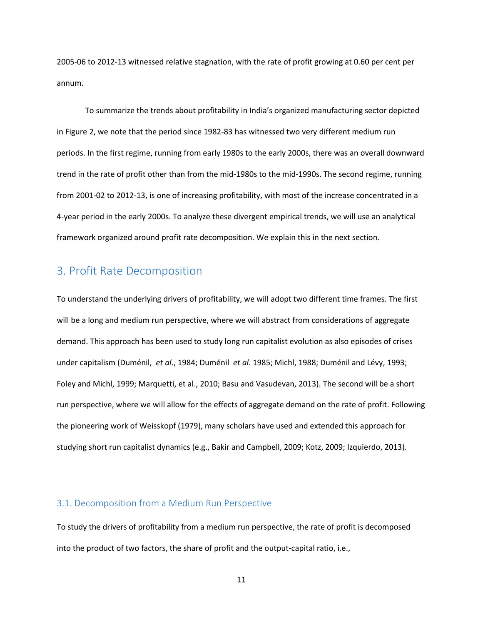2005-06 to 2012-13 witnessed relative stagnation, with the rate of profit growing at 0.60 per cent per annum.

To summarize the trends about profitability in India's organized manufacturing sector depicted in Figure 2, we note that the period since 1982-83 has witnessed two very different medium run periods. In the first regime, running from early 1980s to the early 2000s, there was an overall downward trend in the rate of profit other than from the mid-1980s to the mid-1990s. The second regime, running from 2001-02 to 2012-13, is one of increasing profitability, with most of the increase concentrated in a 4-year period in the early 2000s. To analyze these divergent empirical trends, we will use an analytical framework organized around profit rate decomposition. We explain this in the next section.

### 3. Profit Rate Decomposition

To understand the underlying drivers of profitability, we will adopt two different time frames. The first will be a long and medium run perspective, where we will abstract from considerations of aggregate demand. This approach has been used to study long run capitalist evolution as also episodes of crises under capitalism (Duménil, *et al*., 1984; Duménil *et al*. 1985; Michl, 1988; Duménil and Lévy, 1993; Foley and Michl, 1999; Marquetti, et al., 2010; Basu and Vasudevan, 2013). The second will be a short run perspective, where we will allow for the effects of aggregate demand on the rate of profit. Following the pioneering work of Weisskopf (1979), many scholars have used and extended this approach for studying short run capitalist dynamics (e.g., Bakir and Campbell, 2009; Kotz, 2009; Izquierdo, 2013).

#### 3.1. Decomposition from a Medium Run Perspective

To study the drivers of profitability from a medium run perspective, the rate of profit is decomposed into the product of two factors, the share of profit and the output-capital ratio, i.e.,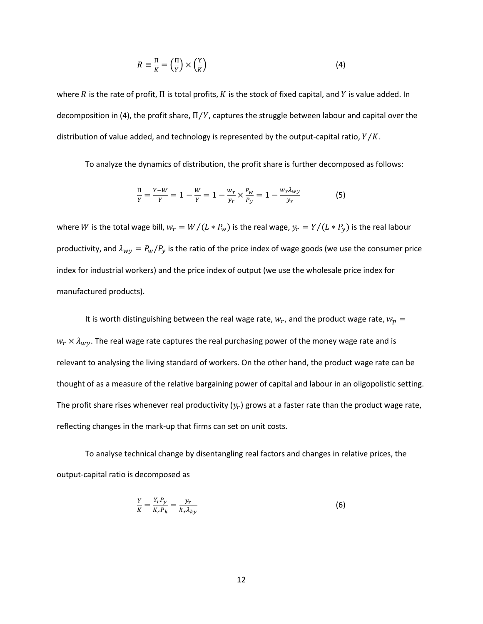$$
R \equiv \frac{\Pi}{K} = \left(\frac{\Pi}{Y}\right) \times \left(\frac{Y}{K}\right) \tag{4}
$$

where  $R$  is the rate of profit,  $\Pi$  is total profits,  $K$  is the stock of fixed capital, and  $Y$  is value added. In decomposition in (4), the profit share,  $\Pi/Y$ , captures the struggle between labour and capital over the distribution of value added, and technology is represented by the output-capital ratio,  $Y/K$ .

To analyze the dynamics of distribution, the profit share is further decomposed as follows:

$$
\frac{\Pi}{Y} = \frac{Y - W}{Y} = 1 - \frac{W}{Y} = 1 - \frac{w_r}{y_r} \times \frac{P_w}{P_y} = 1 - \frac{w_r \lambda_{wy}}{y_r}
$$
(5)

where W is the total wage bill,  $w_r = W/(L * P_w)$  is the real wage,  $y_r = Y/(L * P_v)$  is the real labour productivity, and  $\lambda_{wy} = P_w / P_v$  is the ratio of the price index of wage goods (we use the consumer price index for industrial workers) and the price index of output (we use the wholesale price index for manufactured products).

It is worth distinguishing between the real wage rate,  $w_r$ , and the product wage rate,  $w_p =$  $w_r \times \lambda_{wy}$ . The real wage rate captures the real purchasing power of the money wage rate and is relevant to analysing the living standard of workers. On the other hand, the product wage rate can be thought of as a measure of the relative bargaining power of capital and labour in an oligopolistic setting. The profit share rises whenever real productivity  $(y<sub>r</sub>)$  grows at a faster rate than the product wage rate, reflecting changes in the mark-up that firms can set on unit costs.

To analyse technical change by disentangling real factors and changes in relative prices, the output-capital ratio is decomposed as

$$
\frac{Y}{K} = \frac{Y_r P_y}{K_r P_k} = \frac{y_r}{k_r \lambda_{ky}}
$$
(6)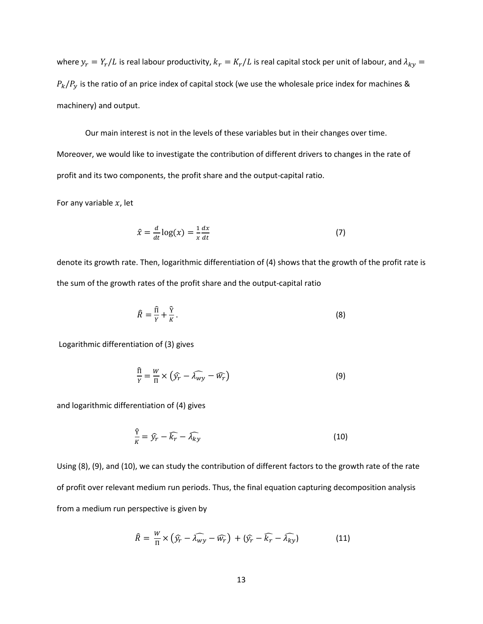where  $y_r = Y_r/L$  is real labour productivity,  $k_r = K_r/L$  is real capital stock per unit of labour, and  $\lambda_{ky} =$  $P_k/P_y$  is the ratio of an price index of capital stock (we use the wholesale price index for machines & machinery) and output.

Our main interest is not in the levels of these variables but in their changes over time. Moreover, we would like to investigate the contribution of different drivers to changes in the rate of profit and its two components, the profit share and the output-capital ratio.

For any variable  $x$ , let

$$
\hat{x} = \frac{d}{dt} \log(x) = \frac{1}{x} \frac{dx}{dt}
$$
 (7)

denote its growth rate. Then, logarithmic differentiation of (4) shows that the growth of the profit rate is the sum of the growth rates of the profit share and the output-capital ratio

$$
\hat{R} = \frac{\hat{\Pi}}{Y} + \frac{\hat{Y}}{K}.
$$
\n(8)

Logarithmic differentiation of (3) gives

$$
\frac{\hat{\Pi}}{Y} = \frac{W}{\Pi} \times (\hat{y}_r - \hat{\lambda_{wy}} - \hat{w}_r)
$$
\n(9)

and logarithmic differentiation of (4) gives

$$
\frac{\hat{Y}}{K} = \hat{y}_r - \widehat{k_r} - \widehat{\lambda_{ky}}
$$
\n(10)

Using (8), (9), and (10), we can study the contribution of different factors to the growth rate of the rate of profit over relevant medium run periods. Thus, the final equation capturing decomposition analysis from a medium run perspective is given by

$$
\hat{R} = \frac{W}{\Pi} \times (\widehat{y_r} - \widehat{\lambda_{wy}} - \widehat{w_r}) + (\widehat{y_r} - \widehat{k_r} - \widehat{\lambda_{ky}})
$$
(11)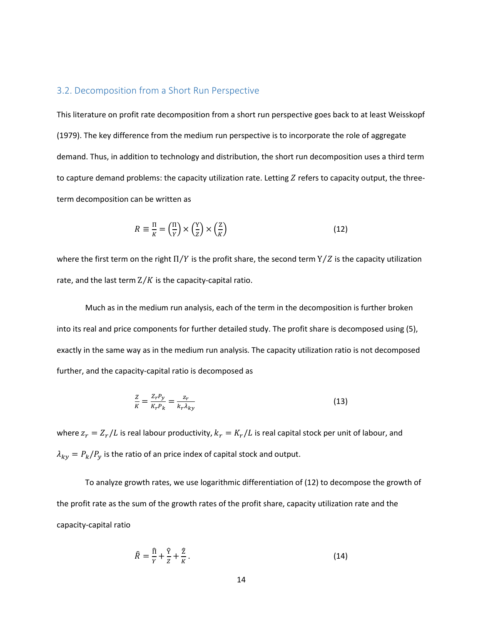#### 3.2. Decomposition from a Short Run Perspective

This literature on profit rate decomposition from a short run perspective goes back to at least Weisskopf (1979). The key difference from the medium run perspective is to incorporate the role of aggregate demand. Thus, in addition to technology and distribution, the short run decomposition uses a third term to capture demand problems: the capacity utilization rate. Letting  $Z$  refers to capacity output, the threeterm decomposition can be written as

$$
R \equiv \frac{\Pi}{K} = \left(\frac{\Pi}{Y}\right) \times \left(\frac{Y}{Z}\right) \times \left(\frac{Z}{K}\right) \tag{12}
$$

where the first term on the right  $\Pi/Y$  is the profit share, the second term  $Y/Z$  is the capacity utilization rate, and the last term  $Z/K$  is the capacity-capital ratio.

Much as in the medium run analysis, each of the term in the decomposition is further broken into its real and price components for further detailed study. The profit share is decomposed using (5), exactly in the same way as in the medium run analysis. The capacity utilization ratio is not decomposed further, and the capacity-capital ratio is decomposed as

$$
\frac{Z}{K} = \frac{Z_r P_y}{K_r P_k} = \frac{Z_r}{k_r \lambda_{ky}}
$$
\n(13)

where  $z_r = Z_r/L$  is real labour productivity,  $k_r = K_r/L$  is real capital stock per unit of labour, and  $\lambda_{ky} = P_k / P_y$  is the ratio of an price index of capital stock and output.

To analyze growth rates, we use logarithmic differentiation of (12) to decompose the growth of the profit rate as the sum of the growth rates of the profit share, capacity utilization rate and the capacity-capital ratio

$$
\hat{R} = \frac{\hat{\Pi}}{Y} + \frac{\hat{Y}}{Z} + \frac{\hat{Z}}{K}.
$$
\n(14)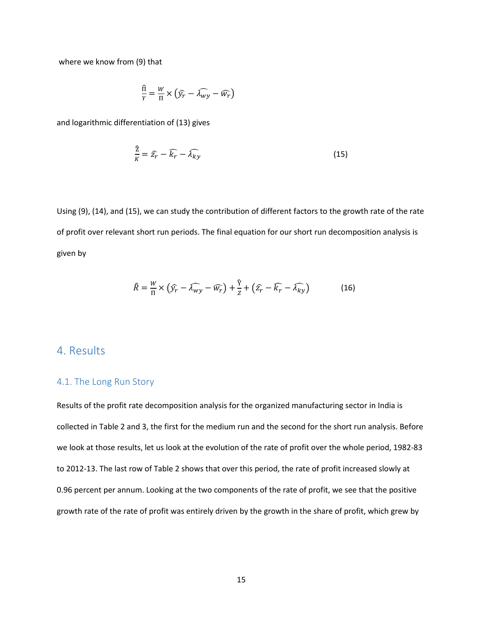where we know from (9) that

$$
\frac{\hat{\Pi}}{Y} = \frac{W}{\Pi} \times (\widehat{y_r} - \widehat{\lambda_{wy}} - \widehat{w_r})
$$

and logarithmic differentiation of (13) gives

$$
\frac{\overline{z}}{K} = \widehat{z}_r - \widehat{k}_r - \widehat{\lambda_{ky}}
$$
 (15)

Using (9), (14), and (15), we can study the contribution of different factors to the growth rate of the rate of profit over relevant short run periods. The final equation for our short run decomposition analysis is given by

$$
\widehat{R} = \frac{W}{\Pi} \times (\widehat{y_r} - \widehat{\lambda_{wy}} - \widehat{w_r}) + \frac{\widehat{Y}}{Z} + (\widehat{z_r} - \widehat{k_r} - \widehat{\lambda_{ky}})
$$
(16)

## 4. Results

#### 4.1. The Long Run Story

Results of the profit rate decomposition analysis for the organized manufacturing sector in India is collected in Table 2 and 3, the first for the medium run and the second for the short run analysis. Before we look at those results, let us look at the evolution of the rate of profit over the whole period, 1982-83 to 2012-13. The last row of Table 2 shows that over this period, the rate of profit increased slowly at 0.96 percent per annum. Looking at the two components of the rate of profit, we see that the positive growth rate of the rate of profit was entirely driven by the growth in the share of profit, which grew by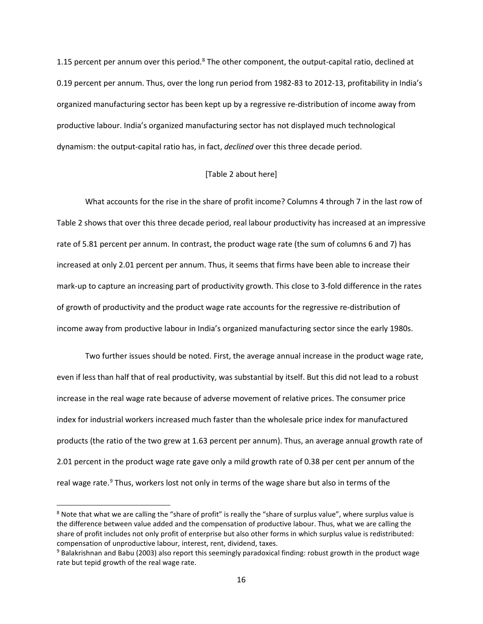1.15 percent per annum over this period. $8$  The other component, the output-capital ratio, declined at 0.19 percent per annum. Thus, over the long run period from 1982-83 to 2012-13, profitability in India's organized manufacturing sector has been kept up by a regressive re-distribution of income away from productive labour. India's organized manufacturing sector has not displayed much technological dynamism: the output-capital ratio has, in fact, *declined* over this three decade period.

#### [Table 2 about here]

What accounts for the rise in the share of profit income? Columns 4 through 7 in the last row of Table 2 shows that over this three decade period, real labour productivity has increased at an impressive rate of 5.81 percent per annum. In contrast, the product wage rate (the sum of columns 6 and 7) has increased at only 2.01 percent per annum. Thus, it seems that firms have been able to increase their mark-up to capture an increasing part of productivity growth. This close to 3-fold difference in the rates of growth of productivity and the product wage rate accounts for the regressive re-distribution of income away from productive labour in India's organized manufacturing sector since the early 1980s.

Two further issues should be noted. First, the average annual increase in the product wage rate, even if less than half that of real productivity, was substantial by itself. But this did not lead to a robust increase in the real wage rate because of adverse movement of relative prices. The consumer price index for industrial workers increased much faster than the wholesale price index for manufactured products (the ratio of the two grew at 1.63 percent per annum). Thus, an average annual growth rate of 2.01 percent in the product wage rate gave only a mild growth rate of 0.38 per cent per annum of the real wage rate.<sup>[9](#page-17-1)</sup> Thus, workers lost not only in terms of the wage share but also in terms of the

 $\overline{\phantom{a}}$ 

<span id="page-17-0"></span><sup>&</sup>lt;sup>8</sup> Note that what we are calling the "share of profit" is really the "share of surplus value", where surplus value is the difference between value added and the compensation of productive labour. Thus, what we are calling the share of profit includes not only profit of enterprise but also other forms in which surplus value is redistributed: compensation of unproductive labour, interest, rent, dividend, taxes.

<span id="page-17-1"></span><sup>9</sup> Balakrishnan and Babu (2003) also report this seemingly paradoxical finding: robust growth in the product wage rate but tepid growth of the real wage rate.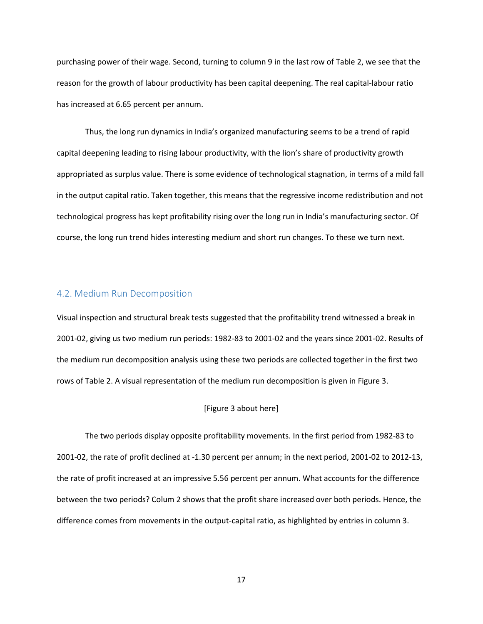purchasing power of their wage. Second, turning to column 9 in the last row of Table 2, we see that the reason for the growth of labour productivity has been capital deepening. The real capital-labour ratio has increased at 6.65 percent per annum.

Thus, the long run dynamics in India's organized manufacturing seems to be a trend of rapid capital deepening leading to rising labour productivity, with the lion's share of productivity growth appropriated as surplus value. There is some evidence of technological stagnation, in terms of a mild fall in the output capital ratio. Taken together, this means that the regressive income redistribution and not technological progress has kept profitability rising over the long run in India's manufacturing sector. Of course, the long run trend hides interesting medium and short run changes. To these we turn next.

#### 4.2. Medium Run Decomposition

Visual inspection and structural break tests suggested that the profitability trend witnessed a break in 2001-02, giving us two medium run periods: 1982-83 to 2001-02 and the years since 2001-02. Results of the medium run decomposition analysis using these two periods are collected together in the first two rows of Table 2. A visual representation of the medium run decomposition is given in Figure 3.

#### [Figure 3 about here]

The two periods display opposite profitability movements. In the first period from 1982-83 to 2001-02, the rate of profit declined at -1.30 percent per annum; in the next period, 2001-02 to 2012-13, the rate of profit increased at an impressive 5.56 percent per annum. What accounts for the difference between the two periods? Colum 2 shows that the profit share increased over both periods. Hence, the difference comes from movements in the output-capital ratio, as highlighted by entries in column 3.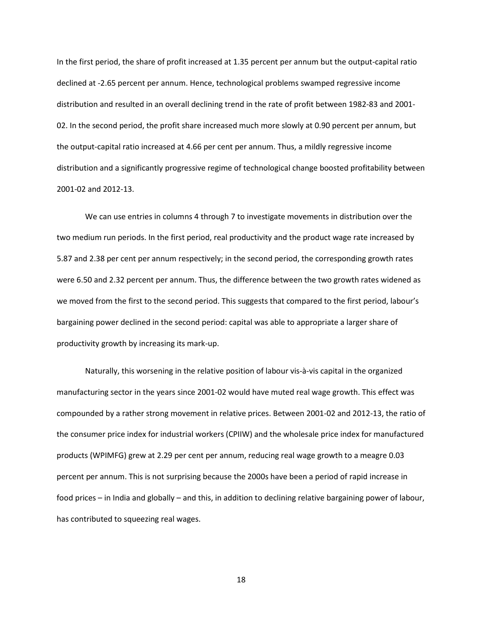In the first period, the share of profit increased at 1.35 percent per annum but the output-capital ratio declined at -2.65 percent per annum. Hence, technological problems swamped regressive income distribution and resulted in an overall declining trend in the rate of profit between 1982-83 and 2001- 02. In the second period, the profit share increased much more slowly at 0.90 percent per annum, but the output-capital ratio increased at 4.66 per cent per annum. Thus, a mildly regressive income distribution and a significantly progressive regime of technological change boosted profitability between 2001-02 and 2012-13.

We can use entries in columns 4 through 7 to investigate movements in distribution over the two medium run periods. In the first period, real productivity and the product wage rate increased by 5.87 and 2.38 per cent per annum respectively; in the second period, the corresponding growth rates were 6.50 and 2.32 percent per annum. Thus, the difference between the two growth rates widened as we moved from the first to the second period. This suggests that compared to the first period, labour's bargaining power declined in the second period: capital was able to appropriate a larger share of productivity growth by increasing its mark-up.

Naturally, this worsening in the relative position of labour vis-à-vis capital in the organized manufacturing sector in the years since 2001-02 would have muted real wage growth. This effect was compounded by a rather strong movement in relative prices. Between 2001-02 and 2012-13, the ratio of the consumer price index for industrial workers (CPIIW) and the wholesale price index for manufactured products (WPIMFG) grew at 2.29 per cent per annum, reducing real wage growth to a meagre 0.03 percent per annum. This is not surprising because the 2000s have been a period of rapid increase in food prices – in India and globally – and this, in addition to declining relative bargaining power of labour, has contributed to squeezing real wages.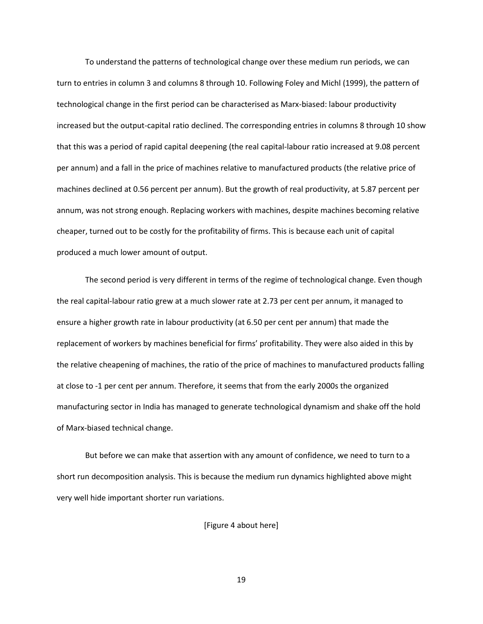To understand the patterns of technological change over these medium run periods, we can turn to entries in column 3 and columns 8 through 10. Following Foley and Michl (1999), the pattern of technological change in the first period can be characterised as Marx-biased: labour productivity increased but the output-capital ratio declined. The corresponding entries in columns 8 through 10 show that this was a period of rapid capital deepening (the real capital-labour ratio increased at 9.08 percent per annum) and a fall in the price of machines relative to manufactured products (the relative price of machines declined at 0.56 percent per annum). But the growth of real productivity, at 5.87 percent per annum, was not strong enough. Replacing workers with machines, despite machines becoming relative cheaper, turned out to be costly for the profitability of firms. This is because each unit of capital produced a much lower amount of output.

The second period is very different in terms of the regime of technological change. Even though the real capital-labour ratio grew at a much slower rate at 2.73 per cent per annum, it managed to ensure a higher growth rate in labour productivity (at 6.50 per cent per annum) that made the replacement of workers by machines beneficial for firms' profitability. They were also aided in this by the relative cheapening of machines, the ratio of the price of machines to manufactured products falling at close to -1 per cent per annum. Therefore, it seems that from the early 2000s the organized manufacturing sector in India has managed to generate technological dynamism and shake off the hold of Marx-biased technical change.

But before we can make that assertion with any amount of confidence, we need to turn to a short run decomposition analysis. This is because the medium run dynamics highlighted above might very well hide important shorter run variations.

[Figure 4 about here]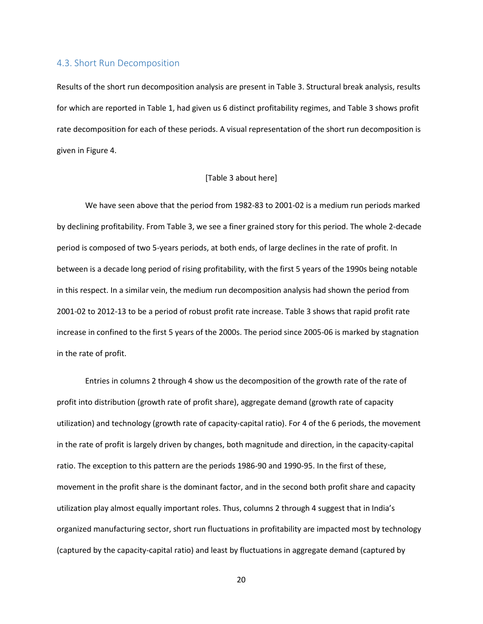#### 4.3. Short Run Decomposition

Results of the short run decomposition analysis are present in Table 3. Structural break analysis, results for which are reported in Table 1, had given us 6 distinct profitability regimes, and Table 3 shows profit rate decomposition for each of these periods. A visual representation of the short run decomposition is given in Figure 4.

#### [Table 3 about here]

We have seen above that the period from 1982-83 to 2001-02 is a medium run periods marked by declining profitability. From Table 3, we see a finer grained story for this period. The whole 2-decade period is composed of two 5-years periods, at both ends, of large declines in the rate of profit. In between is a decade long period of rising profitability, with the first 5 years of the 1990s being notable in this respect. In a similar vein, the medium run decomposition analysis had shown the period from 2001-02 to 2012-13 to be a period of robust profit rate increase. Table 3 shows that rapid profit rate increase in confined to the first 5 years of the 2000s. The period since 2005-06 is marked by stagnation in the rate of profit.

Entries in columns 2 through 4 show us the decomposition of the growth rate of the rate of profit into distribution (growth rate of profit share), aggregate demand (growth rate of capacity utilization) and technology (growth rate of capacity-capital ratio). For 4 of the 6 periods, the movement in the rate of profit is largely driven by changes, both magnitude and direction, in the capacity-capital ratio. The exception to this pattern are the periods 1986-90 and 1990-95. In the first of these, movement in the profit share is the dominant factor, and in the second both profit share and capacity utilization play almost equally important roles. Thus, columns 2 through 4 suggest that in India's organized manufacturing sector, short run fluctuations in profitability are impacted most by technology (captured by the capacity-capital ratio) and least by fluctuations in aggregate demand (captured by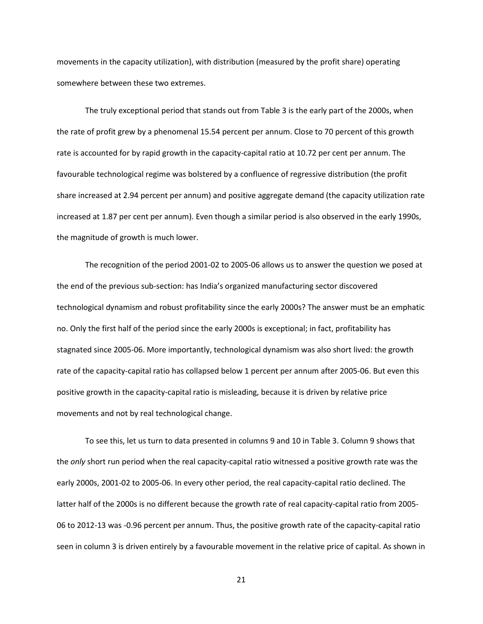movements in the capacity utilization), with distribution (measured by the profit share) operating somewhere between these two extremes.

The truly exceptional period that stands out from Table 3 is the early part of the 2000s, when the rate of profit grew by a phenomenal 15.54 percent per annum. Close to 70 percent of this growth rate is accounted for by rapid growth in the capacity-capital ratio at 10.72 per cent per annum. The favourable technological regime was bolstered by a confluence of regressive distribution (the profit share increased at 2.94 percent per annum) and positive aggregate demand (the capacity utilization rate increased at 1.87 per cent per annum). Even though a similar period is also observed in the early 1990s, the magnitude of growth is much lower.

The recognition of the period 2001-02 to 2005-06 allows us to answer the question we posed at the end of the previous sub-section: has India's organized manufacturing sector discovered technological dynamism and robust profitability since the early 2000s? The answer must be an emphatic no. Only the first half of the period since the early 2000s is exceptional; in fact, profitability has stagnated since 2005-06. More importantly, technological dynamism was also short lived: the growth rate of the capacity-capital ratio has collapsed below 1 percent per annum after 2005-06. But even this positive growth in the capacity-capital ratio is misleading, because it is driven by relative price movements and not by real technological change.

To see this, let us turn to data presented in columns 9 and 10 in Table 3. Column 9 shows that the *only* short run period when the real capacity-capital ratio witnessed a positive growth rate was the early 2000s, 2001-02 to 2005-06. In every other period, the real capacity-capital ratio declined. The latter half of the 2000s is no different because the growth rate of real capacity-capital ratio from 2005- 06 to 2012-13 was -0.96 percent per annum. Thus, the positive growth rate of the capacity-capital ratio seen in column 3 is driven entirely by a favourable movement in the relative price of capital. As shown in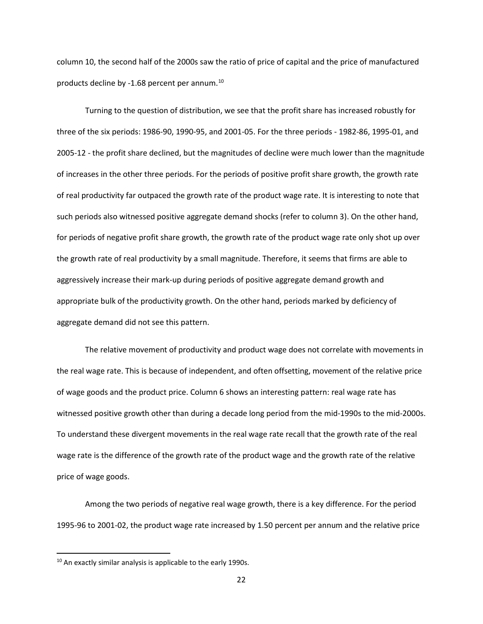column 10, the second half of the 2000s saw the ratio of price of capital and the price of manufactured products decline by -1.68 percent per annum.[10](#page-23-0)

Turning to the question of distribution, we see that the profit share has increased robustly for three of the six periods: 1986-90, 1990-95, and 2001-05. For the three periods - 1982-86, 1995-01, and 2005-12 - the profit share declined, but the magnitudes of decline were much lower than the magnitude of increases in the other three periods. For the periods of positive profit share growth, the growth rate of real productivity far outpaced the growth rate of the product wage rate. It is interesting to note that such periods also witnessed positive aggregate demand shocks (refer to column 3). On the other hand, for periods of negative profit share growth, the growth rate of the product wage rate only shot up over the growth rate of real productivity by a small magnitude. Therefore, it seems that firms are able to aggressively increase their mark-up during periods of positive aggregate demand growth and appropriate bulk of the productivity growth. On the other hand, periods marked by deficiency of aggregate demand did not see this pattern.

The relative movement of productivity and product wage does not correlate with movements in the real wage rate. This is because of independent, and often offsetting, movement of the relative price of wage goods and the product price. Column 6 shows an interesting pattern: real wage rate has witnessed positive growth other than during a decade long period from the mid-1990s to the mid-2000s. To understand these divergent movements in the real wage rate recall that the growth rate of the real wage rate is the difference of the growth rate of the product wage and the growth rate of the relative price of wage goods.

Among the two periods of negative real wage growth, there is a key difference. For the period 1995-96 to 2001-02, the product wage rate increased by 1.50 percent per annum and the relative price

l

<span id="page-23-0"></span> $10$  An exactly similar analysis is applicable to the early 1990s.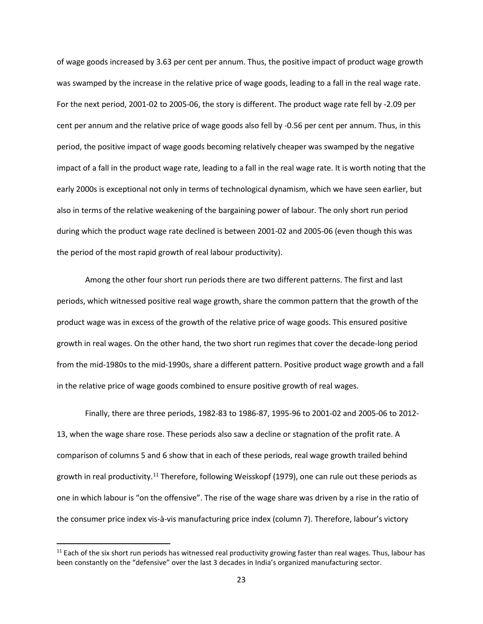of wage goods increased by 3.63 per cent per annum. Thus, the positive impact of product wage growth was swamped by the increase in the relative price of wage goods, leading to a fall in the real wage rate. For the next period, 2001-02 to 2005-06, the story is different. The product wage rate fell by -2.09 per cent per annum and the relative price of wage goods also fell by -0.56 per cent per annum. Thus, in this period, the positive impact of wage goods becoming relatively cheaper was swamped by the negative impact of a fall in the product wage rate, leading to a fall in the real wage rate. It is worth noting that the early 2000s is exceptional not only in terms of technological dynamism, which we have seen earlier, but also in terms of the relative weakening of the bargaining power of labour. The only short run period during which the product wage rate declined is between 2001-02 and 2005-06 (even though this was the period of the most rapid growth of real labour productivity).

Among the other four short run periods there are two different patterns. The first and last periods, which witnessed positive real wage growth, share the common pattern that the growth of the product wage was in excess of the growth of the relative price of wage goods. This ensured positive growth in real wages. On the other hand, the two short run regimes that cover the decade-long period from the mid-1980s to the mid-1990s, share a different pattern. Positive product wage growth and a fall in the relative price of wage goods combined to ensure positive growth of real wages.

Finally, there are three periods, 1982-83 to 1986-87, 1995-96 to 2001-02 and 2005-06 to 2012- 13, when the wage share rose. These periods also saw a decline or stagnation of the profit rate. A comparison of columns 5 and 6 show that in each of these periods, real wage growth trailed behind growth in real productivity.<sup>[11](#page-24-0)</sup> Therefore, following Weisskopf (1979), one can rule out these periods as one in which labour is "on the offensive". The rise of the wage share was driven by a rise in the ratio of the consumer price index vis-à-vis manufacturing price index (column 7). Therefore, labour's victory

 $\overline{\phantom{a}}$ 

<span id="page-24-0"></span> $11$  Each of the six short run periods has witnessed real productivity growing faster than real wages. Thus, labour has been constantly on the "defensive" over the last 3 decades in India's organized manufacturing sector.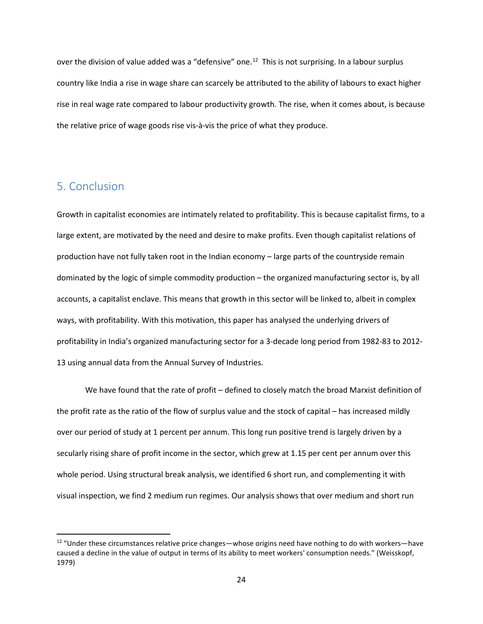over the division of value added was a "defensive" one.<sup>[12](#page-25-0)</sup> This is not surprising. In a labour surplus country like India a rise in wage share can scarcely be attributed to the ability of labours to exact higher rise in real wage rate compared to labour productivity growth. The rise, when it comes about, is because the relative price of wage goods rise vis-à-vis the price of what they produce.

### 5. Conclusion

l

Growth in capitalist economies are intimately related to profitability. This is because capitalist firms, to a large extent, are motivated by the need and desire to make profits. Even though capitalist relations of production have not fully taken root in the Indian economy – large parts of the countryside remain dominated by the logic of simple commodity production – the organized manufacturing sector is, by all accounts, a capitalist enclave. This means that growth in this sector will be linked to, albeit in complex ways, with profitability. With this motivation, this paper has analysed the underlying drivers of profitability in India's organized manufacturing sector for a 3-decade long period from 1982-83 to 2012- 13 using annual data from the Annual Survey of Industries.

We have found that the rate of profit - defined to closely match the broad Marxist definition of the profit rate as the ratio of the flow of surplus value and the stock of capital – has increased mildly over our period of study at 1 percent per annum. This long run positive trend is largely driven by a secularly rising share of profit income in the sector, which grew at 1.15 per cent per annum over this whole period. Using structural break analysis, we identified 6 short run, and complementing it with visual inspection, we find 2 medium run regimes. Our analysis shows that over medium and short run

<span id="page-25-0"></span> $12$  "Under these circumstances relative price changes—whose origins need have nothing to do with workers—have caused a decline in the value of output in terms of its ability to meet workers' consumption needs." (Weisskopf, 1979)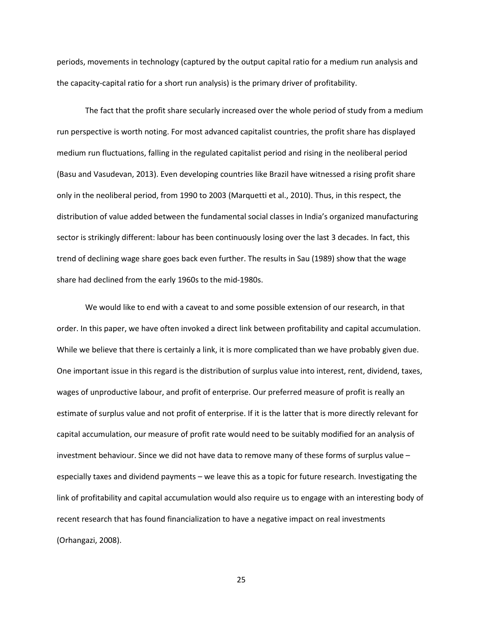periods, movements in technology (captured by the output capital ratio for a medium run analysis and the capacity-capital ratio for a short run analysis) is the primary driver of profitability.

The fact that the profit share secularly increased over the whole period of study from a medium run perspective is worth noting. For most advanced capitalist countries, the profit share has displayed medium run fluctuations, falling in the regulated capitalist period and rising in the neoliberal period (Basu and Vasudevan, 2013). Even developing countries like Brazil have witnessed a rising profit share only in the neoliberal period, from 1990 to 2003 (Marquetti et al., 2010). Thus, in this respect, the distribution of value added between the fundamental social classes in India's organized manufacturing sector is strikingly different: labour has been continuously losing over the last 3 decades. In fact, this trend of declining wage share goes back even further. The results in Sau (1989) show that the wage share had declined from the early 1960s to the mid-1980s.

We would like to end with a caveat to and some possible extension of our research, in that order. In this paper, we have often invoked a direct link between profitability and capital accumulation. While we believe that there is certainly a link, it is more complicated than we have probably given due. One important issue in this regard is the distribution of surplus value into interest, rent, dividend, taxes, wages of unproductive labour, and profit of enterprise. Our preferred measure of profit is really an estimate of surplus value and not profit of enterprise. If it is the latter that is more directly relevant for capital accumulation, our measure of profit rate would need to be suitably modified for an analysis of investment behaviour. Since we did not have data to remove many of these forms of surplus value – especially taxes and dividend payments – we leave this as a topic for future research. Investigating the link of profitability and capital accumulation would also require us to engage with an interesting body of recent research that has found financialization to have a negative impact on real investments (Orhangazi, 2008).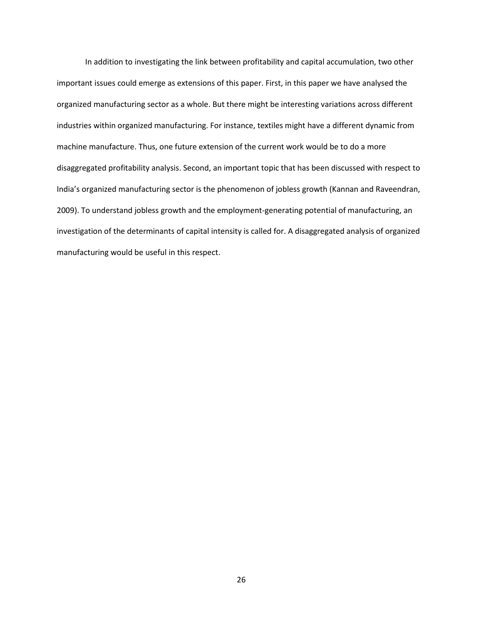In addition to investigating the link between profitability and capital accumulation, two other important issues could emerge as extensions of this paper. First, in this paper we have analysed the organized manufacturing sector as a whole. But there might be interesting variations across different industries within organized manufacturing. For instance, textiles might have a different dynamic from machine manufacture. Thus, one future extension of the current work would be to do a more disaggregated profitability analysis. Second, an important topic that has been discussed with respect to India's organized manufacturing sector is the phenomenon of jobless growth (Kannan and Raveendran, 2009). To understand jobless growth and the employment-generating potential of manufacturing, an investigation of the determinants of capital intensity is called for. A disaggregated analysis of organized manufacturing would be useful in this respect.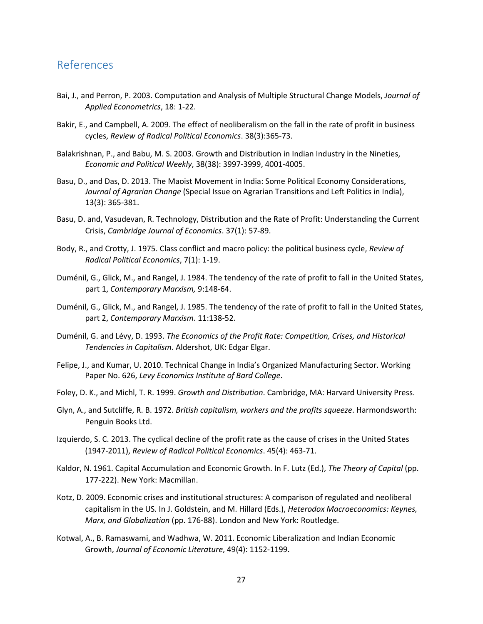## References

- Bai, J., and Perron, P. 2003. Computation and Analysis of Multiple Structural Change Models, *Journal of Applied Econometrics*, 18: 1-22.
- Bakir, E., and Campbell, A. 2009. The effect of neoliberalism on the fall in the rate of profit in business cycles, *Review of Radical Political Economics*. 38(3):365-73.
- Balakrishnan, P., and Babu, M. S. 2003. Growth and Distribution in Indian Industry in the Nineties, *Economic and Political Weekly*, 38(38): 3997-3999, 4001-4005.
- Basu, D., and Das, D. 2013. The Maoist Movement in India: Some Political Economy Considerations, *Journal of Agrarian Change* (Special Issue on Agrarian Transitions and Left Politics in India), 13(3): 365-381.
- Basu, D. and, Vasudevan, R. Technology, Distribution and the Rate of Profit: Understanding the Current Crisis, *Cambridge Journal of Economics*. 37(1): 57-89.
- Body, R., and Crotty, J. 1975. Class conflict and macro policy: the political business cycle, *Review of Radical Political Economics*, 7(1): 1-19.
- Duménil, G., Glick, M., and Rangel, J. 1984. The tendency of the rate of profit to fall in the United States, part 1, *Contemporary Marxism,* 9:148-64.
- Duménil, G., Glick, M., and Rangel, J. 1985. The tendency of the rate of profit to fall in the United States, part 2, *Contemporary Marxism*. 11:138-52.
- Duménil, G. and Lévy, D. 1993. *The Economics of the Profit Rate: Competition, Crises, and Historical Tendencies in Capitalism*. Aldershot, UK: Edgar Elgar.
- Felipe, J., and Kumar, U. 2010. Technical Change in India's Organized Manufacturing Sector. Working Paper No. 626, *Levy Economics Institute of Bard College*.
- Foley, D. K., and Michl, T. R. 1999. *Growth and Distribution*. Cambridge, MA: Harvard University Press.
- Glyn, A., and Sutcliffe, R. B. 1972. *British capitalism, workers and the profits squeeze*. Harmondsworth: Penguin Books Ltd.
- Izquierdo, S. C. 2013. The cyclical decline of the profit rate as the cause of crises in the United States (1947-2011), *Review of Radical Political Economics*. 45(4): 463-71.
- Kaldor, N. 1961. Capital Accumulation and Economic Growth. In F. Lutz (Ed.), *The Theory of Capital* (pp. 177-222). New York: Macmillan.
- Kotz, D. 2009. Economic crises and institutional structures: A comparison of regulated and neoliberal capitalism in the US. In J. Goldstein, and M. Hillard (Eds.), *Heterodox Macroeconomics: Keynes, Marx, and Globalization* (pp. 176-88). London and New York: Routledge.
- Kotwal, A., B. Ramaswami, and Wadhwa, W. 2011. Economic Liberalization and Indian Economic Growth, *Journal of Economic Literature*, 49(4): 1152-1199.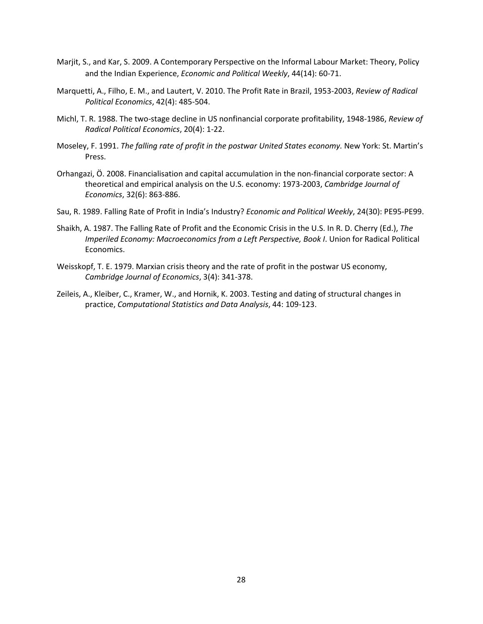- Marjit, S., and Kar, S. 2009. A Contemporary Perspective on the Informal Labour Market: Theory, Policy and the Indian Experience, *Economic and Political Weekly*, 44(14): 60-71.
- Marquetti, A., Filho, E. M., and Lautert, V. 2010. The Profit Rate in Brazil, 1953-2003, *Review of Radical Political Economics*, 42(4): 485-504.
- Michl, T. R. 1988. The two-stage decline in US nonfinancial corporate profitability, 1948-1986, *Review of Radical Political Economics*, 20(4): 1-22.
- Moseley, F. 1991. *The falling rate of profit in the postwar United States economy.* New York: St. Martin's Press.
- Orhangazi, Ö. 2008. Financialisation and capital accumulation in the non-financial corporate sector: A theoretical and empirical analysis on the U.S. economy: 1973-2003, *Cambridge Journal of Economics*, 32(6): 863-886.
- Sau, R. 1989. Falling Rate of Profit in India's Industry? *Economic and Political Weekly*, 24(30): PE95-PE99.
- Shaikh, A. 1987. The Falling Rate of Profit and the Economic Crisis in the U.S. In R. D. Cherry (Ed.), *The Imperiled Economy: Macroeconomics from a Left Perspective, Book I*. Union for Radical Political Economics.
- Weisskopf, T. E. 1979. Marxian crisis theory and the rate of profit in the postwar US economy, *Cambridge Journal of Economics*, 3(4): 341-378.
- Zeileis, A., Kleiber, C., Kramer, W., and Hornik, K. 2003. Testing and dating of structural changes in practice, *Computational Statistics and Data Analysis*, 44: 109-123.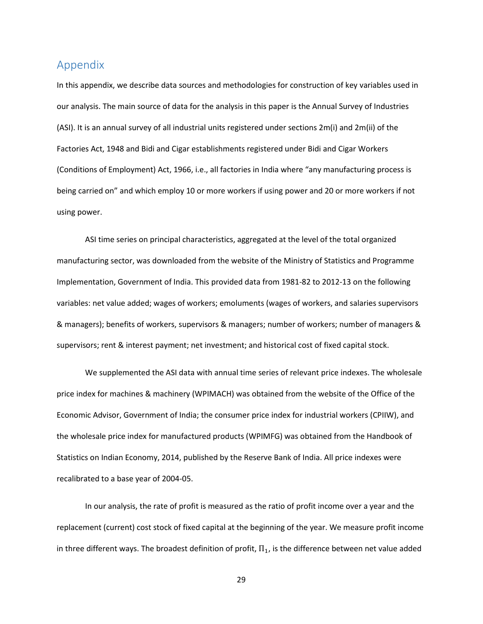### Appendix

In this appendix, we describe data sources and methodologies for construction of key variables used in our analysis. The main source of data for the analysis in this paper is the Annual Survey of Industries (ASI). It is an annual survey of all industrial units registered under sections 2m(i) and 2m(ii) of the Factories Act, 1948 and Bidi and Cigar establishments registered under Bidi and Cigar Workers (Conditions of Employment) Act, 1966, i.e., all factories in India where "any manufacturing process is being carried on" and which employ 10 or more workers if using power and 20 or more workers if not using power.

ASI time series on principal characteristics, aggregated at the level of the total organized manufacturing sector, was downloaded from the website of the Ministry of Statistics and Programme Implementation, Government of India. This provided data from 1981-82 to 2012-13 on the following variables: net value added; wages of workers; emoluments (wages of workers, and salaries supervisors & managers); benefits of workers, supervisors & managers; number of workers; number of managers & supervisors; rent & interest payment; net investment; and historical cost of fixed capital stock.

We supplemented the ASI data with annual time series of relevant price indexes. The wholesale price index for machines & machinery (WPIMACH) was obtained from the website of the Office of the Economic Advisor, Government of India; the consumer price index for industrial workers (CPIIW), and the wholesale price index for manufactured products (WPIMFG) was obtained from the Handbook of Statistics on Indian Economy, 2014, published by the Reserve Bank of India. All price indexes were recalibrated to a base year of 2004-05.

In our analysis, the rate of profit is measured as the ratio of profit income over a year and the replacement (current) cost stock of fixed capital at the beginning of the year. We measure profit income in three different ways. The broadest definition of profit,  $\Pi_1$ , is the difference between net value added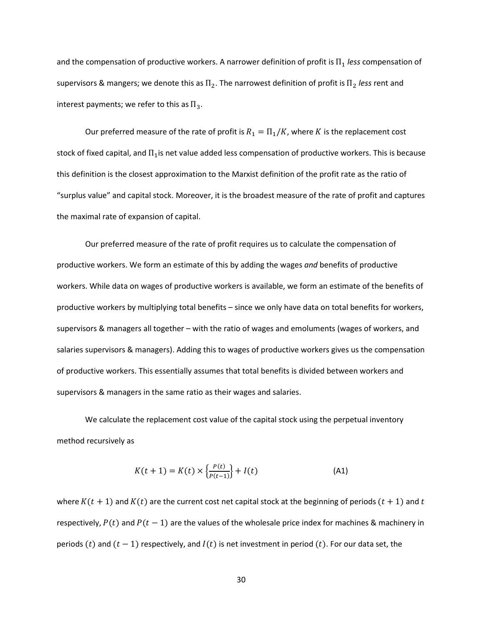and the compensation of productive workers. A narrower definition of profit is  $\Pi_1$  *less* compensation of supervisors & mangers; we denote this as  $\Pi_2$ . The narrowest definition of profit is  $\Pi_2$  less rent and interest payments; we refer to this as  $\Pi_3$ .

Our preferred measure of the rate of profit is  $R_1 = \Pi_1/K$ , where K is the replacement cost stock of fixed capital, and  $\Pi_1$  is net value added less compensation of productive workers. This is because this definition is the closest approximation to the Marxist definition of the profit rate as the ratio of "surplus value" and capital stock. Moreover, it is the broadest measure of the rate of profit and captures the maximal rate of expansion of capital.

Our preferred measure of the rate of profit requires us to calculate the compensation of productive workers. We form an estimate of this by adding the wages *and* benefits of productive workers. While data on wages of productive workers is available, we form an estimate of the benefits of productive workers by multiplying total benefits – since we only have data on total benefits for workers, supervisors & managers all together – with the ratio of wages and emoluments (wages of workers, and salaries supervisors & managers). Adding this to wages of productive workers gives us the compensation of productive workers. This essentially assumes that total benefits is divided between workers and supervisors & managers in the same ratio as their wages and salaries.

We calculate the replacement cost value of the capital stock using the perpetual inventory method recursively as

$$
K(t+1) = K(t) \times \left\{ \frac{P(t)}{P(t-1)} \right\} + I(t)
$$
 (A1)

where  $K(t + 1)$  and  $K(t)$  are the current cost net capital stock at the beginning of periods  $(t + 1)$  and t respectively,  $P(t)$  and  $P(t - 1)$  are the values of the wholesale price index for machines & machinery in periods (t) and  $(t - 1)$  respectively, and  $I(t)$  is net investment in period (t). For our data set, the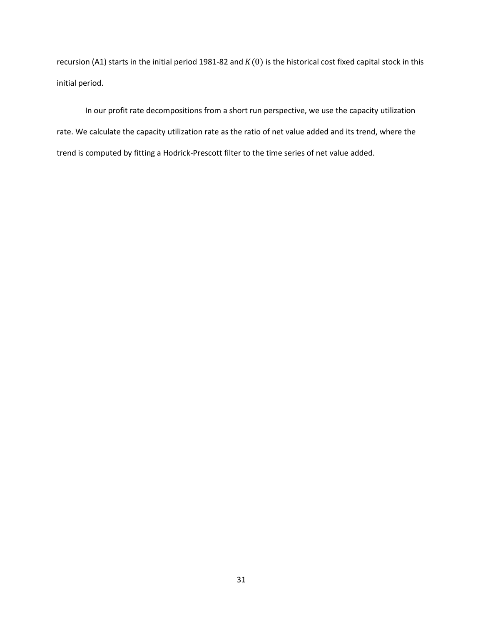recursion (A1) starts in the initial period 1981-82 and  $K(0)$  is the historical cost fixed capital stock in this initial period.

In our profit rate decompositions from a short run perspective, we use the capacity utilization rate. We calculate the capacity utilization rate as the ratio of net value added and its trend, where the trend is computed by fitting a Hodrick-Prescott filter to the time series of net value added.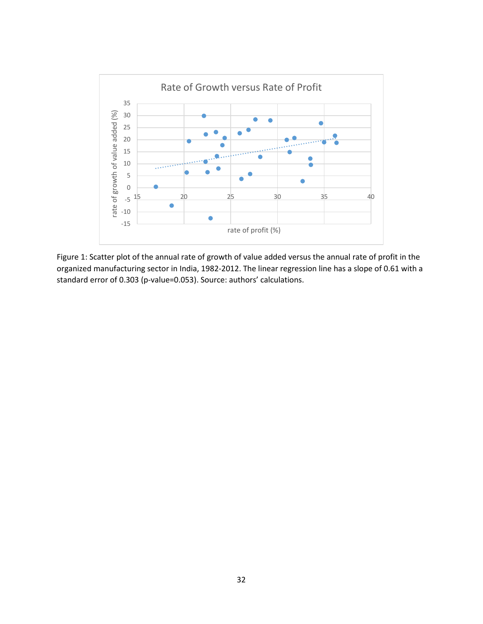

Figure 1: Scatter plot of the annual rate of growth of value added versus the annual rate of profit in the organized manufacturing sector in India, 1982-2012. The linear regression line has a slope of 0.61 with a standard error of 0.303 (p-value=0.053). Source: authors' calculations.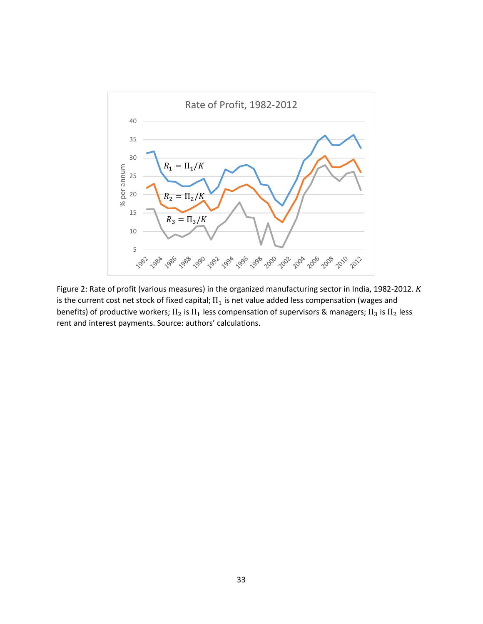

Figure 2: Rate of profit (various measures) in the organized manufacturing sector in India, 1982-2012. K is the current cost net stock of fixed capital;  $\Pi_1$  is net value added less compensation (wages and benefits) of productive workers;  $\Pi_2$  is  $\Pi_1$  less compensation of supervisors & managers;  $\Pi_3$  is  $\Pi_2$  less rent and interest payments. Source: authors' calculations.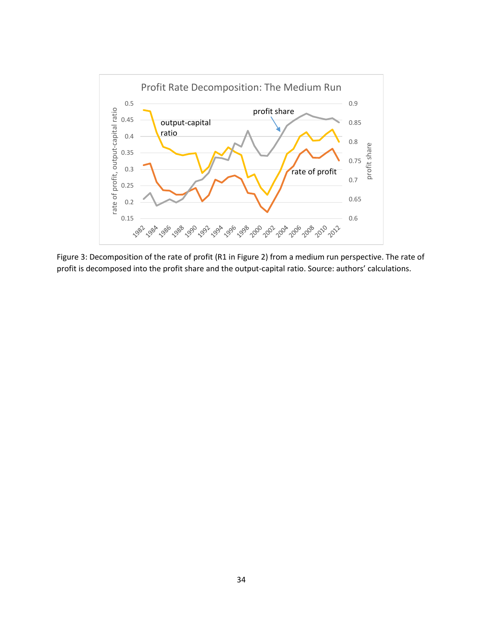

Figure 3: Decomposition of the rate of profit (R1 in Figure 2) from a medium run perspective. The rate of profit is decomposed into the profit share and the output-capital ratio. Source: authors' calculations.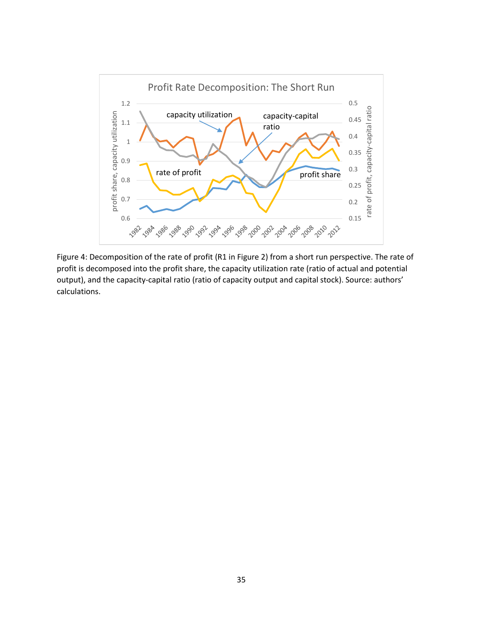

Figure 4: Decomposition of the rate of profit (R1 in Figure 2) from a short run perspective. The rate of profit is decomposed into the profit share, the capacity utilization rate (ratio of actual and potential output), and the capacity-capital ratio (ratio of capacity output and capital stock). Source: authors' calculations.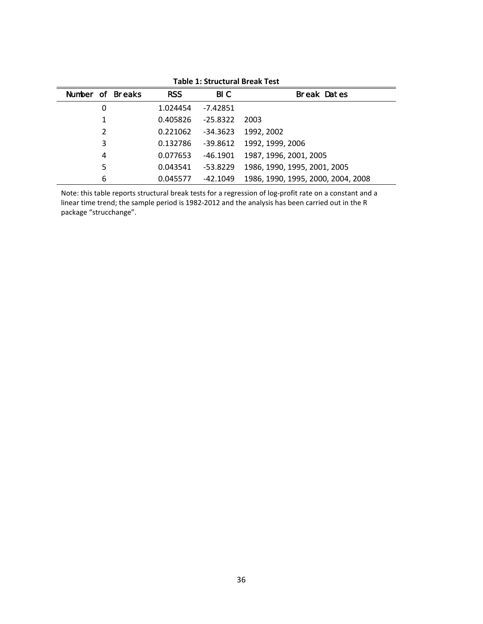| Number of Breaks |   | <b>RSS</b><br>BI C |            | <b>Break Dates</b>                 |  |  |  |
|------------------|---|--------------------|------------|------------------------------------|--|--|--|
|                  | 0 | 1.024454           | -7.42851   |                                    |  |  |  |
|                  | 1 | 0.405826           | $-25.8322$ | 2003                               |  |  |  |
|                  | 2 | 0.221062           | -34.3623   | 1992, 2002                         |  |  |  |
|                  | 3 | 0.132786           | -39.8612   | 1992, 1999, 2006                   |  |  |  |
|                  | 4 | 0.077653           | -46.1901   | 1987, 1996, 2001, 2005             |  |  |  |
|                  | 5 | 0.043541           | $-53.8229$ | 1986, 1990, 1995, 2001, 2005       |  |  |  |
|                  | 6 | 0.045577           | -42.1049   | 1986, 1990, 1995, 2000, 2004, 2008 |  |  |  |

**Table 1: Structural Break Test**

Note: this table reports structural break tests for a regression of log-profit rate on a constant and a linear time trend; the sample period is 1982-2012 and the analysis has been carried out in the R package "strucchange".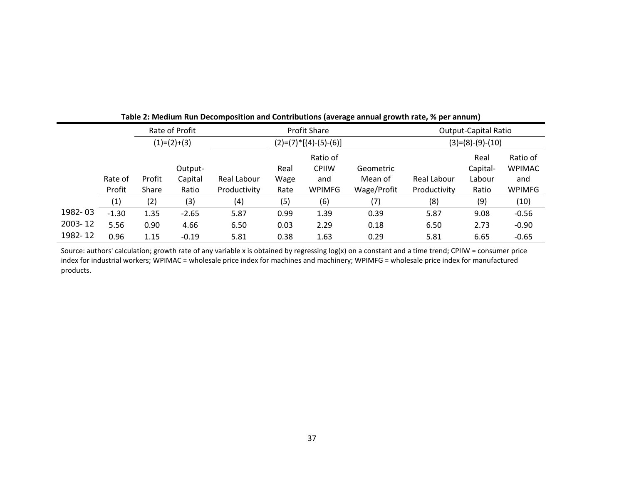|         |         |        | Rate of Profit     |                          |              | <b>Profit Share</b> | <b>Output-Capital Ratio</b> |                    |                  |                           |
|---------|---------|--------|--------------------|--------------------------|--------------|---------------------|-----------------------------|--------------------|------------------|---------------------------|
|         |         |        | $(1)=(2)+(3)$      | $(2)=(7)^*[(4)-(5)-(6)]$ |              |                     |                             | $(3)=(8)-(9)-(10)$ |                  |                           |
|         |         |        |                    | Ratio of<br><b>CPIIW</b> |              |                     | Geometric                   |                    | Real<br>Capital- | Ratio of<br><b>WPIMAC</b> |
|         | Rate of | Profit | Output-<br>Capital | Real Labour              | Real<br>Wage | and                 | Mean of                     | Real Labour        | Labour           | and                       |
|         | Profit  | Share  | Ratio              | Productivity             | Rate         | <b>WPIMFG</b>       | Wage/Profit                 | Productivity       | Ratio            | <b>WPIMFG</b>             |
|         | (1)     | (2)    | (3)                | (4)                      | (5)          | (6)                 | (7)                         | (8)                | (9)              | (10)                      |
| 1982-03 | $-1.30$ | 1.35   | $-2.65$            | 5.87                     | 0.99         | 1.39                | 0.39                        | 5.87               | 9.08             | $-0.56$                   |
| 2003-12 | 5.56    | 0.90   | 4.66               | 6.50                     | 0.03         | 2.29                | 0.18                        | 6.50               | 2.73             | $-0.90$                   |
| 1982-12 | 0.96    | 1.15   | $-0.19$            | 5.81                     | 0.38         | 1.63                | 0.29                        | 5.81               | 6.65             | $-0.65$                   |

**Table 2: Medium Run Decomposition and Contributions (average annual growth rate, % per annum)**

 $\equiv$ 

Source: authors' calculation; growth rate of any variable x is obtained by regressing log(x) on a constant and a time trend; CPIIW = consumer price index for industrial workers; WPIMAC = wholesale price index for machines and machinery; WPIMFG = wholesale price index for manufactured products.